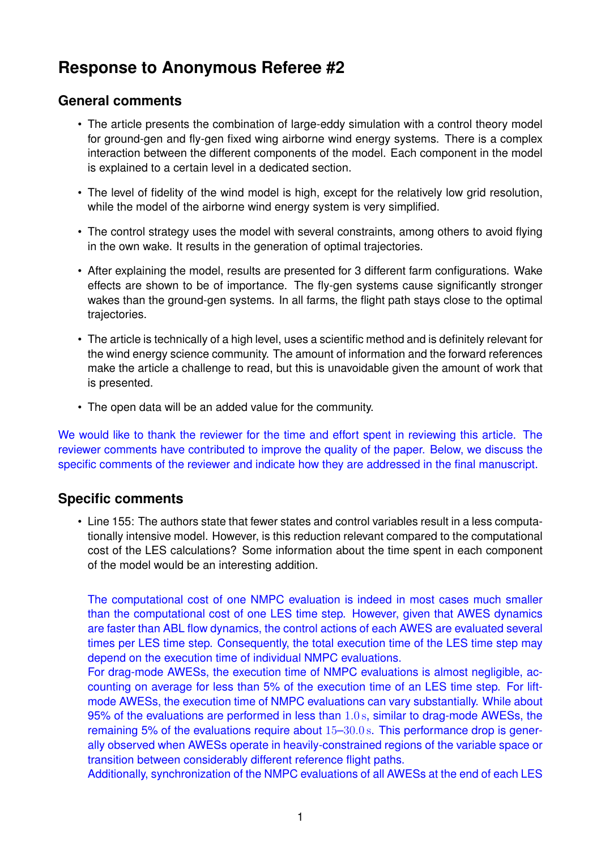## **Response to Anonymous Referee #2**

## **General comments**

- The article presents the combination of large-eddy simulation with a control theory model for ground-gen and fly-gen fixed wing airborne wind energy systems. There is a complex interaction between the different components of the model. Each component in the model is explained to a certain level in a dedicated section.
- The level of fidelity of the wind model is high, except for the relatively low grid resolution, while the model of the airborne wind energy system is very simplified.
- The control strategy uses the model with several constraints, among others to avoid flying in the own wake. It results in the generation of optimal trajectories.
- After explaining the model, results are presented for 3 different farm configurations. Wake effects are shown to be of importance. The fly-gen systems cause significantly stronger wakes than the ground-gen systems. In all farms, the flight path stays close to the optimal trajectories.
- The article is technically of a high level, uses a scientific method and is definitely relevant for the wind energy science community. The amount of information and the forward references make the article a challenge to read, but this is unavoidable given the amount of work that is presented.
- The open data will be an added value for the community.

We would like to thank the reviewer for the time and effort spent in reviewing this article. The reviewer comments have contributed to improve the quality of the paper. Below, we discuss the specific comments of the reviewer and indicate how they are addressed in the final manuscript.

## **Specific comments**

• Line 155: The authors state that fewer states and control variables result in a less computationally intensive model. However, is this reduction relevant compared to the computational cost of the LES calculations? Some information about the time spent in each component of the model would be an interesting addition.

The computational cost of one NMPC evaluation is indeed in most cases much smaller than the computational cost of one LES time step. However, given that AWES dynamics are faster than ABL flow dynamics, the control actions of each AWES are evaluated several times per LES time step. Consequently, the total execution time of the LES time step may depend on the execution time of individual NMPC evaluations.

For drag-mode AWESs, the execution time of NMPC evaluations is almost negligible, accounting on average for less than 5% of the execution time of an LES time step. For liftmode AWESs, the execution time of NMPC evaluations can vary substantially. While about 95% of the evaluations are performed in less than 1.0 s, similar to drag-mode AWESs, the remaining 5% of the evaluations require about 15–30.0 s. This performance drop is generally observed when AWESs operate in heavily-constrained regions of the variable space or transition between considerably different reference flight paths.

Additionally, synchronization of the NMPC evaluations of all AWESs at the end of each LES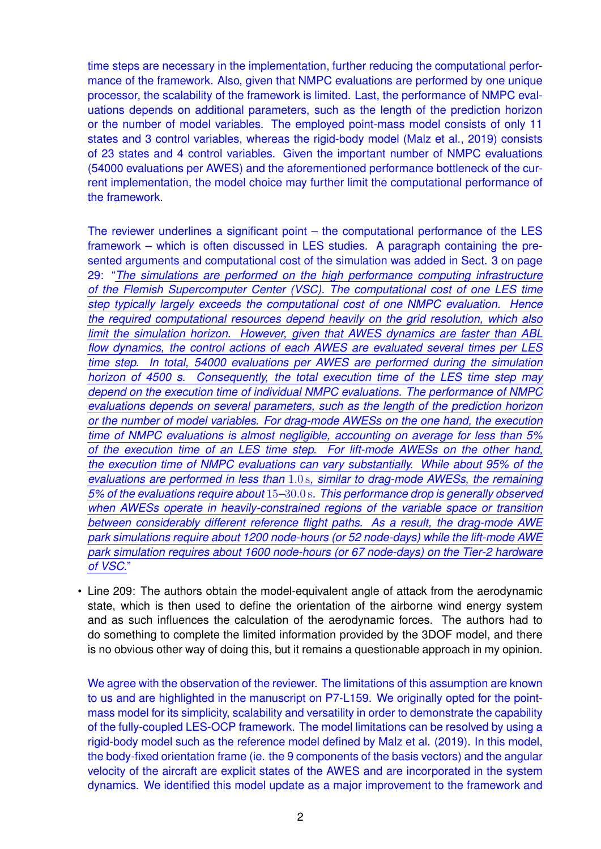time steps are necessary in the implementation, further reducing the computational performance of the framework. Also, given that NMPC evaluations are performed by one unique processor, the scalability of the framework is limited. Last, the performance of NMPC evaluations depends on additional parameters, such as the length of the prediction horizon or the number of model variables. The employed point-mass model consists of only 11 states and 3 control variables, whereas the rigid-body model (Malz et al., 2019) consists of 23 states and 4 control variables. Given the important number of NMPC evaluations (54000 evaluations per AWES) and the aforementioned performance bottleneck of the current implementation, the model choice may further limit the computational performance of the framework.

The reviewer underlines a significant point – the computational performance of the LES framework – which is often discussed in LES studies. A paragraph containing the presented arguments and computational cost of the simulation was added in Sect. 3 on page 29: "*The simulations are performed on the high performance computing infrastructure of the Flemish Supercomputer Center (VSC). The computational cost of one LES time step typically largely exceeds the computational cost of one NMPC evaluation. Hence the required computational resources depend heavily on the grid resolution, which also limit the simulation horizon. However, given that AWES dynamics are faster than ABL flow dynamics, the control actions of each AWES are evaluated several times per LES time step. In total, 54000 evaluations per AWES are performed during the simulation horizon of 4500 s. Consequently, the total execution time of the LES time step may depend on the execution time of individual NMPC evaluations. The performance of NMPC evaluations depends on several parameters, such as the length of the prediction horizon or the number of model variables. For drag-mode AWESs on the one hand, the execution time of NMPC evaluations is almost negligible, accounting on average for less than 5% of the execution time of an LES time step. For lift-mode AWESs on the other hand, the execution time of NMPC evaluations can vary substantially. While about 95% of the evaluations are performed in less than* 1.0 s*, similar to drag-mode AWESs, the remaining 5% of the evaluations require about* 15*–*30.0 s*. This performance drop is generally observed when AWESs operate in heavily-constrained regions of the variable space or transition between considerably different reference flight paths. As a result, the drag-mode AWE park simulations require about 1200 node-hours (or 52 node-days) while the lift-mode AWE park simulation requires about 1600 node-hours (or 67 node-days) on the Tier-2 hardware of VSC.*"

• Line 209: The authors obtain the model-equivalent angle of attack from the aerodynamic state, which is then used to define the orientation of the airborne wind energy system and as such influences the calculation of the aerodynamic forces. The authors had to do something to complete the limited information provided by the 3DOF model, and there is no obvious other way of doing this, but it remains a questionable approach in my opinion.

We agree with the observation of the reviewer. The limitations of this assumption are known to us and are highlighted in the manuscript on P7-L159. We originally opted for the pointmass model for its simplicity, scalability and versatility in order to demonstrate the capability of the fully-coupled LES-OCP framework. The model limitations can be resolved by using a rigid-body model such as the reference model defined by Malz et al. (2019). In this model, the body-fixed orientation frame (ie. the 9 components of the basis vectors) and the angular velocity of the aircraft are explicit states of the AWES and are incorporated in the system dynamics. We identified this model update as a major improvement to the framework and